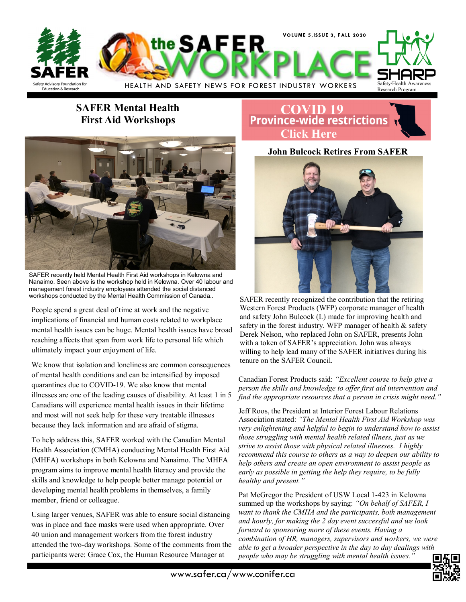

### **SAFER Mental Health First Aid Workshops**



SAFER recently held Mental Health First Aid workshops in Kelowna and Nanaimo. Seen above is the workshop held in Kelowna. Over 40 labour and management forest industry employees attended the social distanced workshops conducted by the Mental Health Commission of Canada..

People spend a great deal of time at work and the negative implications of financial and human costs related to workplace mental health issues can be huge. Mental health issues have broad reaching affects that span from work life to personal life which ultimately impact your enjoyment of life.

We know that isolation and loneliness are common consequences of mental health conditions and can be intensified by imposed quarantines due to COVID-19. We also know that mental illnesses are one of the leading causes of disability. At least 1 in 5 Canadians will experience mental health issues in their lifetime and most will not seek help for these very treatable illnesses because they lack information and are afraid of stigma.

To help address this, SAFER worked with the Canadian Mental Health Association (CMHA) conducting Mental Health First Aid (MHFA) workshops in both Kelowna and Nanaimo. The MHFA program aims to improve mental health literacy and provide the skills and knowledge to help people better manage potential or developing mental health problems in themselves, a family member, friend or colleague.

Using larger venues, SAFER was able to ensure social distancing was in place and face masks were used when appropriate. Over 40 union and management workers from the forest industry attended the two-day workshops. Some of the comments from the participants were: Grace Cox, the Human Resource Manager at

## **[COVID 19](https://www2.gov.bc.ca/gov/content/safety/emergency-preparedness-response-recovery/covid-19-provincial-support/restrictions)**<br>**Province-wide restrictions Click Here**

**John Bulcock Retires From SAFER**



SAFER recently recognized the contribution that the retiring Western Forest Products (WFP) corporate manager of health and safety John Bulcock (L) made for improving health and safety in the forest industry. WFP manager of health  $\&$  safety Derek Nelson, who replaced John on SAFER, presents John with a token of SAFER's appreciation. John was always willing to help lead many of the SAFER initiatives during his tenure on the SAFER Council.

Canadian Forest Products said: *"Excellent course to help give a person the skills and knowledge to offer first aid intervention and find the appropriate resources that a person in crisis might need."* 

Jeff Roos, the President at Interior Forest Labour Relations Association stated: *"The Mental Health First Aid Workshop was very enlightening and helpful to begin to understand how to assist those struggling with mental health related illness, just as we strive to assist those with physical related illnesses. I highly recommend this course to others as a way to deepen our ability to help others and create an open environment to assist people as early as possible in gettin*g *the help they require, to be fully healthy and present."* 

Pat McGregor the President of USW Local 1-423 in Kelowna summed up the workshops by saying: *"On behalf of SAFER, I want to thank the CMHA and the participants, both management and hourly, for making the 2 day event successful and we look forward to sponsoring more of these events. Having a combination of HR, managers, supervisors and workers, we were able to get a broader perspective in the day to day dealings with people who may be struggling with mental health issues."*